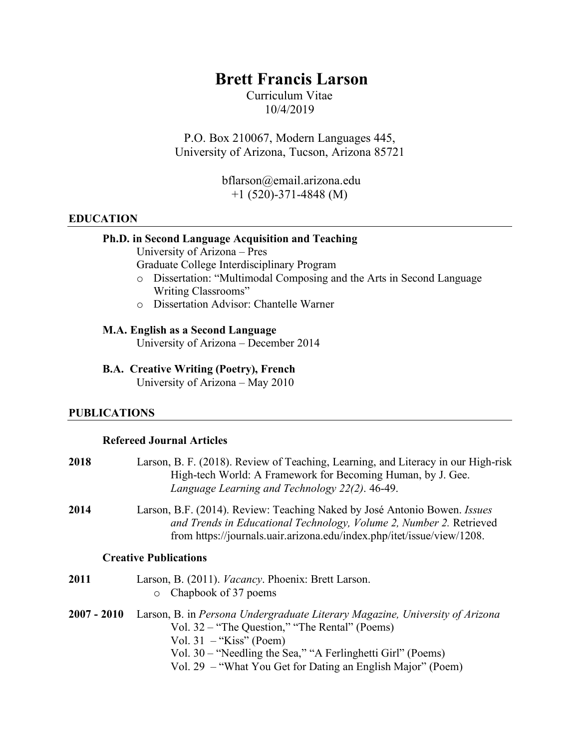# **Brett Francis Larson**

Curriculum Vitae 10/4/2019

P.O. Box 210067, Modern Languages 445, University of Arizona, Tucson, Arizona 85721

> bflarson@email.arizona.edu +1 (520)-371-4848 (M)

### **EDUCATION**

## **Ph.D. in Second Language Acquisition and Teaching**

University of Arizona – Pres

Graduate College Interdisciplinary Program

- o Dissertation: "Multimodal Composing and the Arts in Second Language Writing Classrooms"
- o Dissertation Advisor: Chantelle Warner

### **M.A. English as a Second Language**

University of Arizona – December 2014

**B.A. Creative Writing (Poetry), French**  University of Arizona – May 2010

#### **PUBLICATIONS**

## **Refereed Journal Articles**

| 2018        | Larson, B. F. (2018). Review of Teaching, Learning, and Literacy in our High-risk<br>High-tech World: A Framework for Becoming Human, by J. Gee.<br>Language Learning and Technology 22(2). 46-49.                                                                                        |
|-------------|-------------------------------------------------------------------------------------------------------------------------------------------------------------------------------------------------------------------------------------------------------------------------------------------|
| 2014        | Larson, B.F. (2014). Review: Teaching Naked by José Antonio Bowen. <i>Issues</i><br>and Trends in Educational Technology, Volume 2, Number 2. Retrieved<br>from https://journals.uair.arizona.edu/index.php/itet/issue/view/1208.                                                         |
|             | <b>Creative Publications</b>                                                                                                                                                                                                                                                              |
| 2011        | Larson, B. (2011). <i>Vacancy</i> . Phoenix: Brett Larson.<br>Chapbook of 37 poems<br>$\circ$                                                                                                                                                                                             |
| 2007 - 2010 | Larson, B. in Persona Undergraduate Literary Magazine, University of Arizona<br>Vol. 32 – "The Question," "The Rental" (Poems)<br>Vol. $31 -$ "Kiss" (Poem)<br>Vol. 30 – "Needling the Sea," "A Ferlinghetti Girl" (Poems)<br>Vol. 29 – "What You Get for Dating an English Major" (Poem) |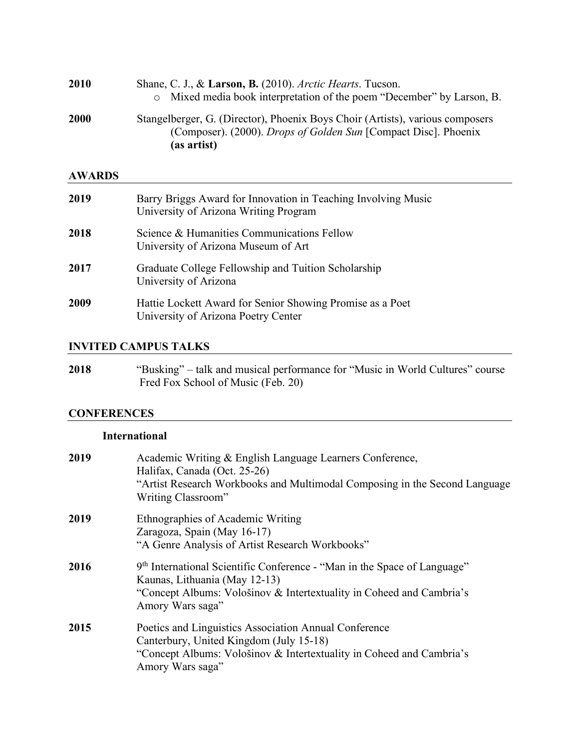| 2010          | Shane, C. J., & Larson, B. (2010). Arctic Hearts. Tucson.<br>Mixed media book interpretation of the poem "December" by Larson, B.<br>$\circ$                           |  |  |  |
|---------------|------------------------------------------------------------------------------------------------------------------------------------------------------------------------|--|--|--|
| 2000          | Stangelberger, G. (Director), Phoenix Boys Choir (Artists), various composers<br>(Composer). (2000). <i>Drops of Golden Sun</i> [Compact Disc]. Phoenix<br>(as artist) |  |  |  |
| <b>AWARDS</b> |                                                                                                                                                                        |  |  |  |
| 2019          | Barry Briggs Award for Innovation in Teaching Involving Music<br>University of Arizona Writing Program                                                                 |  |  |  |
| 2018          | Science & Humanities Communications Fellow<br>University of Arizona Museum of Art                                                                                      |  |  |  |
| 2017          | Graduate College Fellowship and Tuition Scholarship<br>University of Arizona                                                                                           |  |  |  |
| 2009          | Hattie Lockett Award for Senior Showing Promise as a Poet<br>University of Arizona Poetry Center                                                                       |  |  |  |

# **INVITED CAMPUS TALKS**

**2018** "Busking" – talk and musical performance for "Music in World Cultures" course Fred Fox School of Music (Feb. 20)

# **CONFERENCES**

# **International**

| 2019 | Academic Writing & English Language Learners Conference,<br>Halifax, Canada (Oct. 25-26)<br>"Artist Research Workbooks and Multimodal Composing in the Second Language<br>Writing Classroom"          |
|------|-------------------------------------------------------------------------------------------------------------------------------------------------------------------------------------------------------|
| 2019 | Ethnographies of Academic Writing<br>Zaragoza, Spain (May 16-17)<br>"A Genre Analysis of Artist Research Workbooks"                                                                                   |
| 2016 | 9th International Scientific Conference - "Man in the Space of Language"<br>Kaunas, Lithuania (May 12-13)<br>"Concept Albums: Vološinov & Intertextuality in Coheed and Cambria's<br>Amory Wars saga" |
| 2015 | Poetics and Linguistics Association Annual Conference<br>Canterbury, United Kingdom (July 15-18)<br>"Concept Albums: Vološinov & Intertextuality in Coheed and Cambria's<br>Amory Wars saga"          |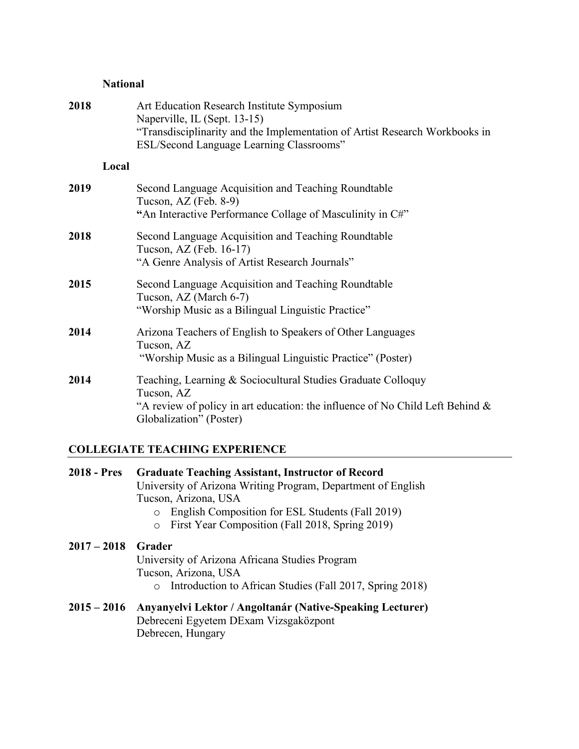# **National**

| 2018 | Art Education Research Institute Symposium<br>Naperville, IL (Sept. 13-15)<br>"Transdisciplinarity and the Implementation of Artist Research Workbooks in<br>ESL/Second Language Learning Classrooms" |
|------|-------------------------------------------------------------------------------------------------------------------------------------------------------------------------------------------------------|
|      | Local                                                                                                                                                                                                 |
| 2019 | Second Language Acquisition and Teaching Roundtable<br>Tucson, AZ (Feb. 8-9)<br>"An Interactive Performance Collage of Masculinity in C#"                                                             |
| 2018 | Second Language Acquisition and Teaching Roundtable<br>Tucson, AZ (Feb. 16-17)<br>"A Genre Analysis of Artist Research Journals"                                                                      |
| 2015 | Second Language Acquisition and Teaching Roundtable<br>Tucson, AZ (March 6-7)<br>"Worship Music as a Bilingual Linguistic Practice"                                                                   |
| 2014 | Arizona Teachers of English to Speakers of Other Languages<br>Tucson, AZ<br>"Worship Music as a Bilingual Linguistic Practice" (Poster)                                                               |
| 2014 | Teaching, Learning & Sociocultural Studies Graduate Colloquy<br>Tucson, AZ<br>"A review of policy in art education: the influence of No Child Left Behind $\&$<br>Globalization" (Poster)             |

# **COLLEGIATE TEACHING EXPERIENCE**

| $2018 - Pres$ | <b>Graduate Teaching Assistant, Instructor of Record</b><br>University of Arizona Writing Program, Department of English<br>Tucson, Arizona, USA        |  |  |  |  |
|---------------|---------------------------------------------------------------------------------------------------------------------------------------------------------|--|--|--|--|
|               | English Composition for ESL Students (Fall 2019)<br>First Year Composition (Fall 2018, Spring 2019)<br>$\circ$                                          |  |  |  |  |
| $2017 - 2018$ | Grader<br>University of Arizona Africana Studies Program<br>Tucson, Arizona, USA<br>Introduction to African Studies (Fall 2017, Spring 2018)<br>$\circ$ |  |  |  |  |
| $2015 - 2016$ | Anyanyelvi Lektor / Angoltanár (Native-Speaking Lecturer)<br>Debreceni Egyetem DExam Vizsgaközpont<br>Debrecen, Hungary                                 |  |  |  |  |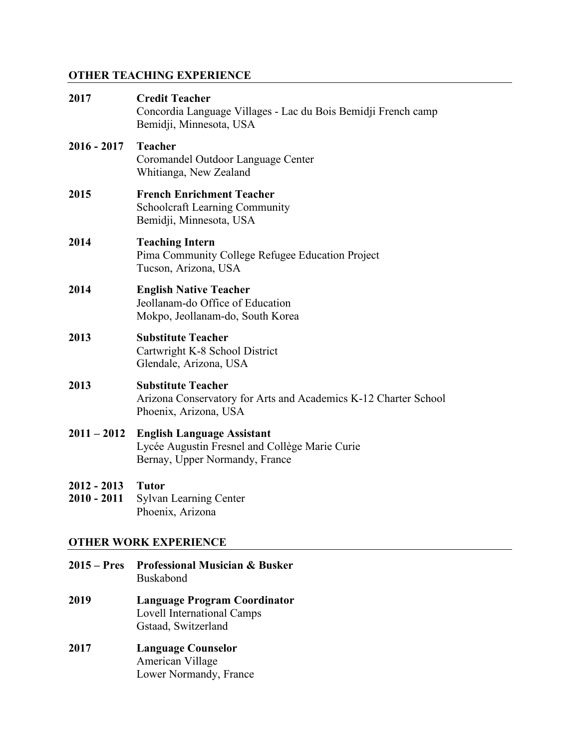# **OTHER TEACHING EXPERIENCE**

| 2017                           | <b>Credit Teacher</b><br>Concordia Language Villages - Lac du Bois Bemidji French camp<br>Bemidji, Minnesota, USA     |  |  |  |  |
|--------------------------------|-----------------------------------------------------------------------------------------------------------------------|--|--|--|--|
| $2016 - 2017$                  | Teacher<br>Coromandel Outdoor Language Center<br>Whitianga, New Zealand                                               |  |  |  |  |
| 2015                           | <b>French Enrichment Teacher</b><br><b>Schoolcraft Learning Community</b><br>Bemidji, Minnesota, USA                  |  |  |  |  |
| 2014                           | <b>Teaching Intern</b><br>Pima Community College Refugee Education Project<br>Tucson, Arizona, USA                    |  |  |  |  |
| 2014                           | <b>English Native Teacher</b><br>Jeollanam-do Office of Education<br>Mokpo, Jeollanam-do, South Korea                 |  |  |  |  |
| 2013                           | <b>Substitute Teacher</b><br>Cartwright K-8 School District<br>Glendale, Arizona, USA                                 |  |  |  |  |
| 2013                           | <b>Substitute Teacher</b><br>Arizona Conservatory for Arts and Academics K-12 Charter School<br>Phoenix, Arizona, USA |  |  |  |  |
| $2011 - 2012$                  | <b>English Language Assistant</b><br>Lycée Augustin Fresnel and Collège Marie Curie<br>Bernay, Upper Normandy, France |  |  |  |  |
| $2012 - 2013$<br>$2010 - 2011$ | <b>Tutor</b><br><b>Sylvan Learning Center</b><br>Phoenix, Arizona                                                     |  |  |  |  |
| <b>OTHER WORK EXPERIENCE</b>   |                                                                                                                       |  |  |  |  |
| $2015 - Pres$                  | <b>Professional Musician &amp; Busker</b>                                                                             |  |  |  |  |

Buskabond

- **2019 Language Program Coordinator**  Lovell International Camps Gstaad, Switzerland
- **2017 Language Counselor** American Village Lower Normandy, France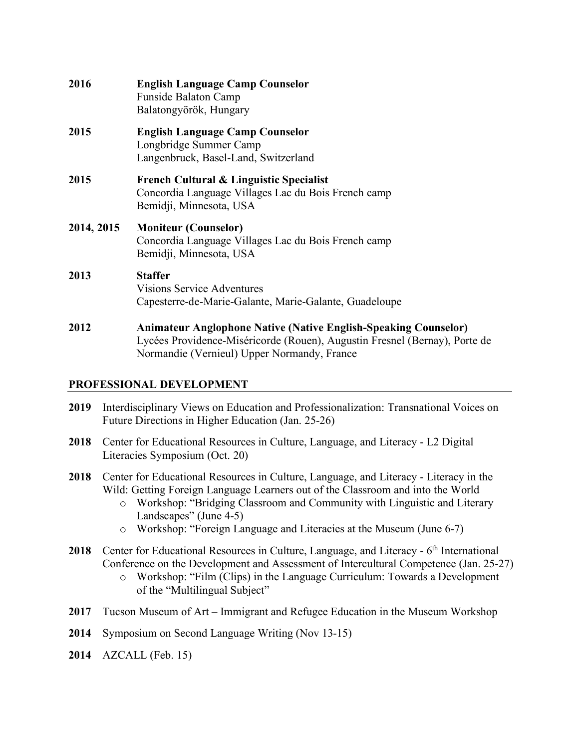| 2016       | <b>English Language Camp Counselor</b><br><b>Funside Balaton Camp</b><br>Balatongyörök, Hungary                                                                                                     |  |  |  |
|------------|-----------------------------------------------------------------------------------------------------------------------------------------------------------------------------------------------------|--|--|--|
| 2015       | <b>English Language Camp Counselor</b><br>Longbridge Summer Camp<br>Langenbruck, Basel-Land, Switzerland                                                                                            |  |  |  |
| 2015       | <b>French Cultural &amp; Linguistic Specialist</b><br>Concordia Language Villages Lac du Bois French camp<br>Bemidji, Minnesota, USA                                                                |  |  |  |
| 2014, 2015 | <b>Moniteur (Counselor)</b><br>Concordia Language Villages Lac du Bois French camp<br>Bemidji, Minnesota, USA                                                                                       |  |  |  |
| 2013       | <b>Staffer</b><br><b>Visions Service Adventures</b><br>Capesterre-de-Marie-Galante, Marie-Galante, Guadeloupe                                                                                       |  |  |  |
| 2012       | <b>Animateur Anglophone Native (Native English-Speaking Counselor)</b><br>Lycées Providence-Miséricorde (Rouen), Augustin Fresnel (Bernay), Porte de<br>Normandie (Vernieul) Upper Normandy, France |  |  |  |

### **PROFESSIONAL DEVELOPMENT**

- **2019** Interdisciplinary Views on Education and Professionalization: Transnational Voices on Future Directions in Higher Education (Jan. 25-26)
- **2018** Center for Educational Resources in Culture, Language, and Literacy L2 Digital Literacies Symposium (Oct. 20)
- **2018** Center for Educational Resources in Culture, Language, and Literacy Literacy in the Wild: Getting Foreign Language Learners out of the Classroom and into the World
	- o Workshop: "Bridging Classroom and Community with Linguistic and Literary Landscapes" (June 4-5)
	- o Workshop: "Foreign Language and Literacies at the Museum (June 6-7)
- 2018 Center for Educational Resources in Culture, Language, and Literacy 6<sup>th</sup> International Conference on the Development and Assessment of Intercultural Competence (Jan. 25-27)
	- o Workshop: "Film (Clips) in the Language Curriculum: Towards a Development of the "Multilingual Subject"
- **2017** Tucson Museum of Art Immigrant and Refugee Education in the Museum Workshop
- **2014** Symposium on Second Language Writing (Nov 13-15)
- **2014** AZCALL (Feb. 15)